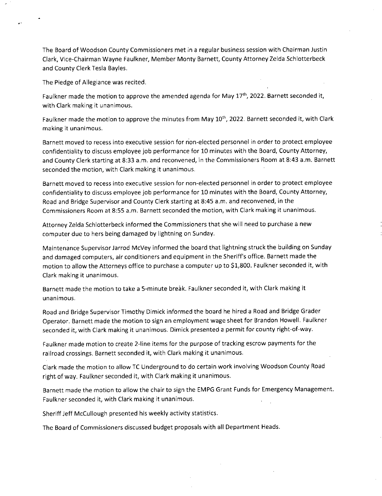The Board of Woodson County Commissioners met in a regular business session with Chairman Justin Clark, Vice-Chairman Wayne Faulkner, Member Monty Barnett, County Attorney Zelda Schlotterbeck and County Clerk Tesla Bayles.

The Pledge of Allegiance was recited.

Faulkner made the motion to approve the amended agenda for May 17<sup>th</sup>, 2022. Barnett seconded it, with Clark making it unanimous.

Faulkner made the motion to approve the minutes from May  $10^{th}$ , 2022. Barnett seconded it, with Clark making it unanimous.

Barnett moved to recess into executive session for non-elected personnel in order to protect employee confidentiality to discuss employee job performance for 10 minutes with the Board, County Attorney, and County Clerk starting at 8:33 a.m. and reconvened, in the Commissioners Room at 8:43 a.m. Barnett seconded the motion, with Clark making it unanimous.

Barnett moved to recess into executive session for non-elected personnel in order to protect employee confidentiality to discuss employee job performance for 10 minutes with the Board, County Attorney, Road and Bridge Supervisor and County Clerk starting at 8:45 a.m. and reconvened, in the Commissioners Room at 8:55 a.m. Barnett seconded the motion, with Clark making it unanimous.

Attorney Zelda Schlotterbeck informed the Commissioners that she will need to purchase a new computer due to hers being damaged by lightning on Sunday.

Maintenance Supervisor Jarrod McVey informed the board that lightning struck the building on Sunday and damaged computers, air conditioners and equipment in the Sheriff's office. Barnett made the motion to allow the Attorneys office to purchase a computer up to \$1,800. Faulkner seconded it, with Clark making it unanimous.

Barnett made the motion to take a 5-minute break. Faulkner seconded it, with Clark making it unanimous.

Road and Bridge Supervisor Timothy Dimick informed the board he hired a Road and Bridge Grader Operator. Barnett made the motion to sign an employment wage sheet for Brandon Howell. Faulkner seconded it, with Clark making it unanimous. Dimick presented a permit for county right-of-way.

Faulkner made motion to create 2-line items for the purpose of tracking escrow payments for the railroad crossings. Barnett seconded it, with Clark making it unanimous.

Clark made the motion to allow TC Underground to do certain work involving Woodson County Road right of way. Faulkner seconded it, with Clark making it unanimous.

Barnett made the motion to allow the chair to sign the EMPG Grant Funds for Emergency Management. Faulkner seconded it, with Clark making it unanimous.

Sheriff Jeff McCullough presented his weekly activity statistics.

The Board of Commissioners discussed budget proposals with all Department Heads.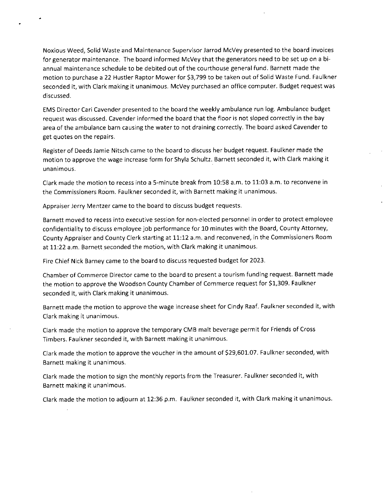Noxious Weed, Solid Waste and Maintenance Supervisor Jarrod McVey presented to the board invoices for generator maintenance. The board informed McVey that the generators need to be set up on a biannual maintenance schedule to be debited out of the courthouse general fund. Barnett made the motion to purchase a 22 Hustler Raptor Mower for \$3,799 to be taken out of Solid Waste Fund. Faulkner seconded it, with Clark making it unanimous. McVey purchased an office computer. Budget request was discussed.

EMS Director Cari Cavender presented to the board the weekly ambulance run log. Ambulance budget request was discussed. Cavender informed the board that the floor is not sloped correctly in the bay area of the ambulance barn causing the water to not draining correctly. The board asked Cavender to get quotes on the repairs.

Register of Deeds Jamie Nitsch came to the board to discuss her budget request. Faulkner made the motion to approve the wage increase form for Shyla Schultz. Barnett seconded it, with Clark making it unanimous.

Clark made the motion to recess into a 5-minute break from 10:58 a.m. to 11:03 a.m. to reconvene in the Commissioners Room. Faulkner seconded it, with Barnett making it unanimous.

Appraiser Jerry Mentzer came to the board to discuss budget requests.

Barnett moved to recess into executive session for non-elected personnel in order to protect employee confidentiality to discuss employee job performance for 10 minutes with the Board, County Attorney, County Appraiser and County Clerk starting at 11:12 a.m. and reconvened, in the Commissioners Room at 11:22 a.m. Barnett seconded the motion, with Clark making it unanimous.

Fire Chief Nick Barney came to the board to discuss requested budget for 2023.

Chamber of Commerce Director came to the board to present a tourism funding request. Barnett made the motion to approve the Woodson County Chamber of Commerce request for \$1,309. Faulkner seconded it, with Clark making it unanimous.

Barnett made the motion to approve the wage increase sheet for Cindy Raaf. Faulkner seconded it, with Clark making it unanimous.

Clark made the motion to approve the temporary CMB malt beverage permit for Friends of Cross Timbers. Faulkner seconded it, with Barnett making it unanimous.

Clark made the motion to approve the voucher in the amount of \$29,601.07. Faulkner seconded, with Barnett making it unanimous.

Clark made the motion to sign the monthly reports from the Treasurer. Faulkner seconded it, with Barnett making it unanimous.

Clark made the motion to adjourn at 12:36 p.m. Faulkner seconded it, with Clark making it unanimous.